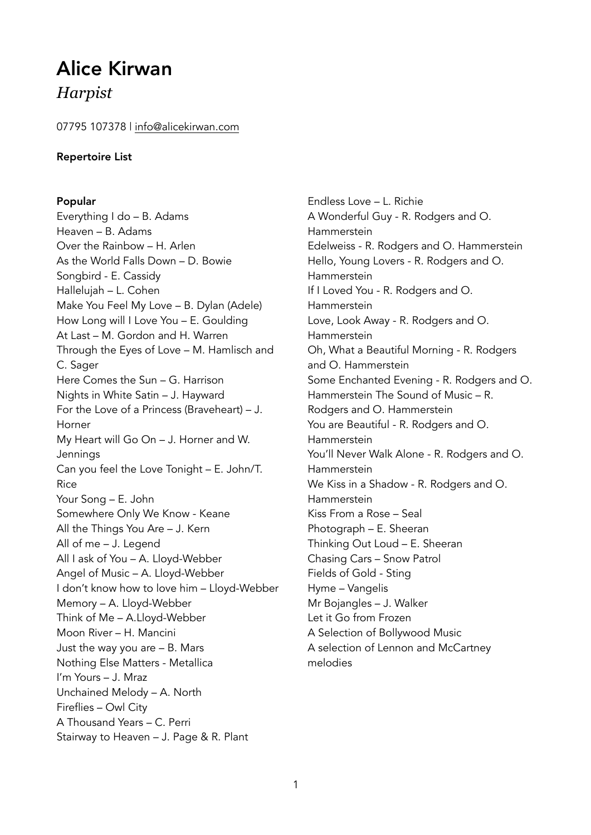# Alice Kirwan *Harpist*

07795 107378 | [info@alicekirwan.com](mailto:info@alicekirwan.com)

## Repertoire List

## Popular

Everything I do – B. Adams Heaven – B. Adams Over the Rainbow – H. Arlen As the World Falls Down – D. Bowie Songbird - E. Cassidy Hallelujah – L. Cohen Make You Feel My Love – B. Dylan (Adele) How Long will I Love You – E. Goulding At Last – M. Gordon and H. Warren Through the Eyes of Love – M. Hamlisch and C. Sager Here Comes the Sun – G. Harrison Nights in White Satin – J. Hayward For the Love of a Princess (Braveheart) – J. Horner My Heart will Go On – J. Horner and W. Jennings Can you feel the Love Tonight – E. John/T. Rice Your Song – E. John Somewhere Only We Know - Keane All the Things You Are – J. Kern All of me – J. Legend All I ask of You – A. Lloyd-Webber Angel of Music – A. Lloyd-Webber I don't know how to love him – Lloyd-Webber Memory – A. Lloyd-Webber Think of Me – A.Lloyd-Webber Moon River – H. Mancini Just the way you are – B. Mars Nothing Else Matters - Metallica I'm Yours – J. Mraz Unchained Melody – A. North Fireflies – Owl City A Thousand Years – C. Perri Stairway to Heaven – J. Page & R. Plant

Endless Love – L. Richie A Wonderful Guy - R. Rodgers and O. Hammerstein Edelweiss - R. Rodgers and O. Hammerstein Hello, Young Lovers - R. Rodgers and O. Hammerstein If I Loved You - R. Rodgers and O. Hammerstein Love, Look Away - R. Rodgers and O. Hammerstein Oh, What a Beautiful Morning - R. Rodgers and O. Hammerstein Some Enchanted Evening - R. Rodgers and O. Hammerstein The Sound of Music – R. Rodgers and O. Hammerstein You are Beautiful - R. Rodgers and O. Hammerstein You'll Never Walk Alone - R. Rodgers and O. Hammerstein We Kiss in a Shadow - R. Rodgers and O. Hammerstein Kiss From a Rose – Seal Photograph – E. Sheeran Thinking Out Loud – E. Sheeran Chasing Cars – Snow Patrol Fields of Gold - Sting Hyme – Vangelis Mr Bojangles – J. Walker Let it Go from Frozen A Selection of Bollywood Music A selection of Lennon and McCartney melodies